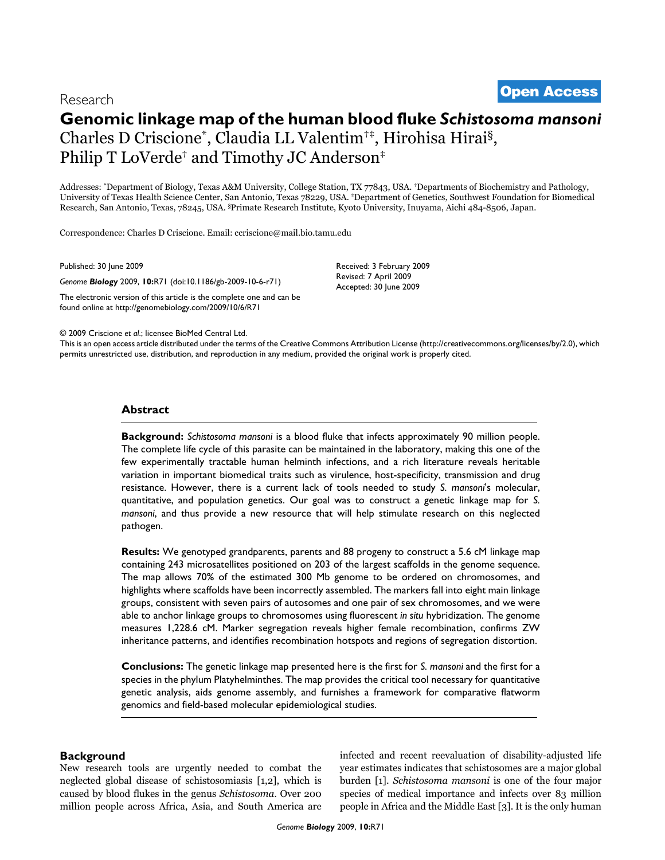# <sup>2009</sup> Criscione et al. Volume 10, Issue 6, Article R71 **[Open Access](http://www.biomedcentral.com/info/about/charter/)** Research

# **Genomic linkage map of the human blood fluke** *Schistosoma mansoni* Charles D Criscione\*, Claudia LL Valentim†‡, Hirohisa Hirai§, Philip T LoVerde<sup>†</sup> and Timothy JC Anderson<sup>‡</sup>

Addresses: \*Department of Biology, Texas A&M University, College Station, TX 77843, USA. †Departments of Biochemistry and Pathology, University of Texas Health Science Center, San Antonio, Texas 78229, USA. ‡Department of Genetics, Southwest Foundation for Biomedical Research, San Antonio, Texas, 78245, USA. §Primate Research Institute, Kyoto University, Inuyama, Aichi 484-8506, Japan.

Correspondence: Charles D Criscione. Email: ccriscione@mail.bio.tamu.edu

Published: 30 June 2009

*Genome Biology* 2009, **10:**R71 (doi:10.1186/gb-2009-10-6-r71)

[The electronic version of this article is the complete one and can be](http://genomebiology.com/2009/10/6/R71)  found online at http://genomebiology.com/2009/10/6/R71

Received: 3 February 2009 Revised: 7 April 2009 Accepted: 30 June 2009

© 2009 Criscione *et al*.; licensee BioMed Central Ltd.

[This is an open access article distributed under the terms of the Creative Commons Attribution License \(http://creativecommons.org/licenses/by/2.0\), which](http://creativecommons.org/licenses/by/2.0)  permits unrestricted use, distribution, and reproduction in any medium, provided the original work is properly cited.

# **Abstract**

**Background:** *Schistosoma mansoni* is a blood fluke that infects approximately 90 million people. The complete life cycle of this parasite can be maintained in the laboratory, making this one of the few experimentally tractable human helminth infections, and a rich literature reveals heritable variation in important biomedical traits such as virulence, host-specificity, transmission and drug resistance. However, there is a current lack of tools needed to study *S. mansoni*'s molecular, quantitative, and population genetics. Our goal was to construct a genetic linkage map for *S. mansoni*, and thus provide a new resource that will help stimulate research on this neglected pathogen.

**Results:** We genotyped grandparents, parents and 88 progeny to construct a 5.6 cM linkage map containing 243 microsatellites positioned on 203 of the largest scaffolds in the genome sequence. The map allows 70% of the estimated 300 Mb genome to be ordered on chromosomes, and highlights where scaffolds have been incorrectly assembled. The markers fall into eight main linkage groups, consistent with seven pairs of autosomes and one pair of sex chromosomes, and we were able to anchor linkage groups to chromosomes using fluorescent *in situ* hybridization. The genome measures 1,228.6 cM. Marker segregation reveals higher female recombination, confirms ZW inheritance patterns, and identifies recombination hotspots and regions of segregation distortion.

**Conclusions:** The genetic linkage map presented here is the first for *S. mansoni* and the first for a species in the phylum Platyhelminthes. The map provides the critical tool necessary for quantitative genetic analysis, aids genome assembly, and furnishes a framework for comparative flatworm genomics and field-based molecular epidemiological studies.

# **Background**

New research tools are urgently needed to combat the neglected global disease of schistosomiasis [1,2], which is caused by blood flukes in the genus *Schistosoma*. Over 200 million people across Africa, Asia, and South America are infected and recent reevaluation of disability-adjusted life year estimates indicates that schistosomes are a major global burden [1]. *Schistosoma mansoni* is one of the four major species of medical importance and infects over 83 million people in Africa and the Middle East [3]. It is the only human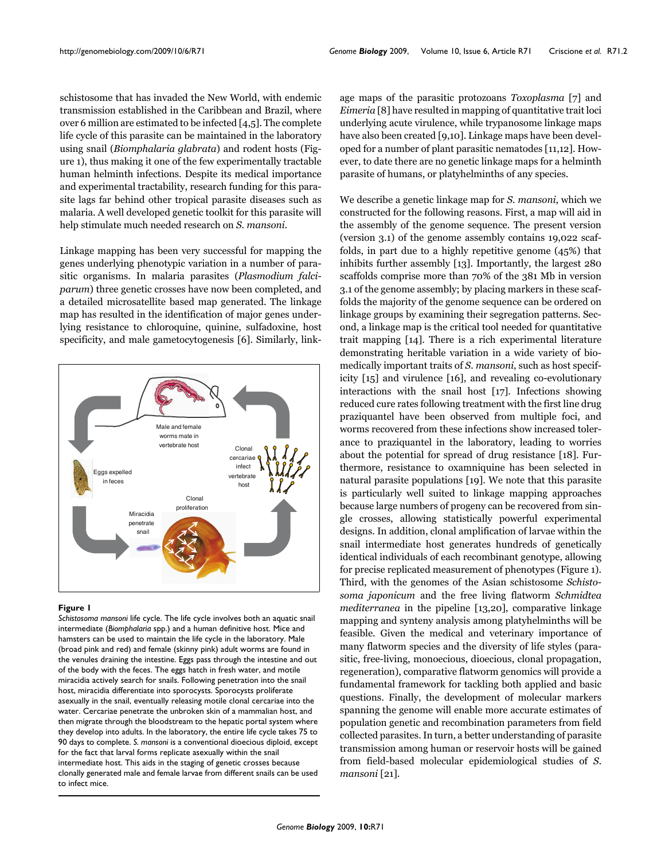schistosome that has invaded the New World, with endemic transmission established in the Caribbean and Brazil, where over 6 million are estimated to be infected [4,5]. The complete life cycle of this parasite can be maintained in the laboratory using snail (*Biomphalaria glabrata*) and rodent hosts (Figure 1), thus making it one of the few experimentally tractable human helminth infections. Despite its medical importance and experimental tractability, research funding for this parasite lags far behind other tropical parasite diseases such as malaria. A well developed genetic toolkit for this parasite will help stimulate much needed research on *S. mansoni*.

Linkage mapping has been very successful for mapping the genes underlying phenotypic variation in a number of parasitic organisms. In malaria parasites (*Plasmodium falciparum*) three genetic crosses have now been completed, and a detailed microsatellite based map generated. The linkage map has resulted in the identification of major genes underlying resistance to chloroquine, quinine, sulfadoxine, host specificity, and male gametocytogenesis [6]. Similarly, link-



#### **Figure 1**

*Schistosoma mansoni* life cycle. The life cycle involves both an aquatic snail intermediate (*Biomphalaria* spp.) and a human definitive host. Mice and hamsters can be used to maintain the life cycle in the laboratory. Male (broad pink and red) and female (skinny pink) adult worms are found in the venules draining the intestine. Eggs pass through the intestine and out of the body with the feces. The eggs hatch in fresh water, and motile miracidia actively search for snails. Following penetration into the snail host, miracidia differentiate into sporocysts. Sporocysts proliferate asexually in the snail, eventually releasing motile clonal cercariae into the water. Cercariae penetrate the unbroken skin of a mammalian host, and then migrate through the bloodstream to the hepatic portal system where they develop into adults. In the laboratory, the entire life cycle takes 75 to 90 days to complete. *S. mansoni* is a conventional dioecious diploid, except for the fact that larval forms replicate asexually within the snail intermediate host. This aids in the staging of genetic crosses because clonally generated male and female larvae from different snails can be used to infect mice.

age maps of the parasitic protozoans *Toxoplasma* [7] and *Eimeria* [8] have resulted in mapping of quantitative trait loci underlying acute virulence, while trypanosome linkage maps have also been created [9,10]. Linkage maps have been developed for a number of plant parasitic nematodes [11,12]. However, to date there are no genetic linkage maps for a helminth parasite of humans, or platyhelminths of any species.

We describe a genetic linkage map for *S. mansoni*, which we constructed for the following reasons. First, a map will aid in the assembly of the genome sequence. The present version (version 3.1) of the genome assembly contains 19,022 scaffolds, in part due to a highly repetitive genome (45%) that inhibits further assembly [13]. Importantly, the largest 280 scaffolds comprise more than 70% of the 381 Mb in version 3.1 of the genome assembly; by placing markers in these scaffolds the majority of the genome sequence can be ordered on linkage groups by examining their segregation patterns. Second, a linkage map is the critical tool needed for quantitative trait mapping [14]. There is a rich experimental literature demonstrating heritable variation in a wide variety of biomedically important traits of *S. mansoni*, such as host specificity [15] and virulence [16], and revealing co-evolutionary interactions with the snail host [17]. Infections showing reduced cure rates following treatment with the first line drug praziquantel have been observed from multiple foci, and worms recovered from these infections show increased tolerance to praziquantel in the laboratory, leading to worries about the potential for spread of drug resistance [18]. Furthermore, resistance to oxamniquine has been selected in natural parasite populations [19]. We note that this parasite is particularly well suited to linkage mapping approaches because large numbers of progeny can be recovered from single crosses, allowing statistically powerful experimental designs. In addition, clonal amplification of larvae within the snail intermediate host generates hundreds of genetically identical individuals of each recombinant genotype, allowing for precise replicated measurement of phenotypes (Figure 1). Third, with the genomes of the Asian schistosome *Schistosoma japonicum* and the free living flatworm *Schmidtea mediterranea* in the pipeline [13,20], comparative linkage mapping and synteny analysis among platyhelminths will be feasible. Given the medical and veterinary importance of many flatworm species and the diversity of life styles (parasitic, free-living, monoecious, dioecious, clonal propagation, regeneration), comparative flatworm genomics will provide a fundamental framework for tackling both applied and basic questions. Finally, the development of molecular markers spanning the genome will enable more accurate estimates of population genetic and recombination parameters from field collected parasites. In turn, a better understanding of parasite transmission among human or reservoir hosts will be gained from field-based molecular epidemiological studies of *S. mansoni* [21].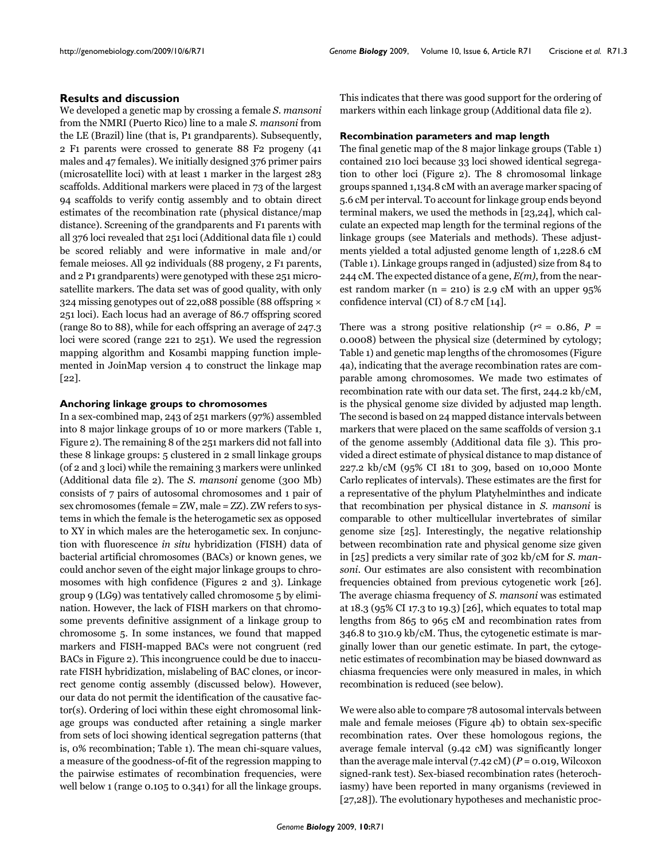# **Results and discussion**

We developed a genetic map by crossing a female *S. mansoni* from the NMRI (Puerto Rico) line to a male *S. mansoni* from the LE (Brazil) line (that is, P1 grandparents). Subsequently, 2 F1 parents were crossed to generate 88 F2 progeny (41 males and 47 females). We initially designed 376 primer pairs (microsatellite loci) with at least 1 marker in the largest 283 scaffolds. Additional markers were placed in 73 of the largest 94 scaffolds to verify contig assembly and to obtain direct estimates of the recombination rate (physical distance/map distance). Screening of the grandparents and F1 parents with all 376 loci revealed that 251 loci (Additional data file 1) could be scored reliably and were informative in male and/or female meioses. All 92 individuals (88 progeny, 2 F1 parents, and 2 P1 grandparents) were genotyped with these 251 microsatellite markers. The data set was of good quality, with only 324 missing genotypes out of 22,088 possible (88 offspring × 251 loci). Each locus had an average of 86.7 offspring scored (range 80 to 88), while for each offspring an average of 247.3 loci were scored (range 221 to 251). We used the regression mapping algorithm and Kosambi mapping function implemented in JoinMap version 4 to construct the linkage map [22].

# **Anchoring linkage groups to chromosomes**

In a sex-combined map, 243 of 251 markers (97%) assembled into 8 major linkage groups of 10 or more markers (Table 1, Figure 2). The remaining 8 of the 251 markers did not fall into these 8 linkage groups: 5 clustered in 2 small linkage groups (of 2 and 3 loci) while the remaining 3 markers were unlinked (Additional data file 2). The *S. mansoni* genome (300 Mb) consists of 7 pairs of autosomal chromosomes and 1 pair of sex chromosomes (female = ZW, male = ZZ). ZW refers to systems in which the female is the heterogametic sex as opposed to XY in which males are the heterogametic sex. In conjunction with fluorescence *in situ* hybridization (FISH) data of bacterial artificial chromosomes (BACs) or known genes, we could anchor seven of the eight major linkage groups to chromosomes with high confidence (Figures 2 and 3). Linkage group 9 (LG9) was tentatively called chromosome 5 by elimination. However, the lack of FISH markers on that chromosome prevents definitive assignment of a linkage group to chromosome 5. In some instances, we found that mapped markers and FISH-mapped BACs were not congruent (red BACs in Figure 2). This incongruence could be due to inaccurate FISH hybridization, mislabeling of BAC clones, or incorrect genome contig assembly (discussed below). However, our data do not permit the identification of the causative factor(s). Ordering of loci within these eight chromosomal linkage groups was conducted after retaining a single marker from sets of loci showing identical segregation patterns (that is, 0% recombination; Table 1). The mean chi-square values, a measure of the goodness-of-fit of the regression mapping to the pairwise estimates of recombination frequencies, were well below 1 (range 0.105 to 0.341) for all the linkage groups.

This indicates that there was good support for the ordering of markers within each linkage group (Additional data file 2).

## **Recombination parameters and map length**

The final genetic map of the 8 major linkage groups (Table 1) contained 210 loci because 33 loci showed identical segregation to other loci (Figure 2). The 8 chromosomal linkage groups spanned 1,134.8 cM with an average marker spacing of 5.6 cM per interval. To account for linkage group ends beyond terminal makers, we used the methods in [23,24], which calculate an expected map length for the terminal regions of the linkage groups (see Materials and methods). These adjustments yielded a total adjusted genome length of 1,228.6 cM (Table 1). Linkage groups ranged in (adjusted) size from 84 to 244 cM. The expected distance of a gene, *E(m)*, from the nearest random marker ( $n = 210$ ) is 2.9 cM with an upper 95% confidence interval (CI) of 8.7 cM [14].

There was a strong positive relationship ( $r^2 = 0.86$ ,  $P =$ 0.0008) between the physical size (determined by cytology; Table 1) and genetic map lengths of the chromosomes (Figure 4a), indicating that the average recombination rates are comparable among chromosomes. We made two estimates of recombination rate with our data set. The first, 244.2 kb/cM, is the physical genome size divided by adjusted map length. The second is based on 24 mapped distance intervals between markers that were placed on the same scaffolds of version 3.1 of the genome assembly (Additional data file 3). This provided a direct estimate of physical distance to map distance of 227.2 kb/cM (95% CI 181 to 309, based on 10,000 Monte Carlo replicates of intervals). These estimates are the first for a representative of the phylum Platyhelminthes and indicate that recombination per physical distance in *S. mansoni* is comparable to other multicellular invertebrates of similar genome size [25]. Interestingly, the negative relationship between recombination rate and physical genome size given in [25] predicts a very similar rate of 302 kb/cM for *S. mansoni*. Our estimates are also consistent with recombination frequencies obtained from previous cytogenetic work [26]. The average chiasma frequency of *S. mansoni* was estimated at 18.3 (95% CI 17.3 to 19.3) [26], which equates to total map lengths from 865 to 965 cM and recombination rates from 346.8 to 310.9 kb/cM. Thus, the cytogenetic estimate is marginally lower than our genetic estimate. In part, the cytogenetic estimates of recombination may be biased downward as chiasma frequencies were only measured in males, in which recombination is reduced (see below).

We were also able to compare 78 autosomal intervals between male and female meioses (Figure 4b) to obtain sex-specific recombination rates. Over these homologous regions, the average female interval (9.42 cM) was significantly longer than the average male interval (7.42 cM) (*P* = 0.019, Wilcoxon signed-rank test). Sex-biased recombination rates (heterochiasmy) have been reported in many organisms (reviewed in [27,28]). The evolutionary hypotheses and mechanistic proc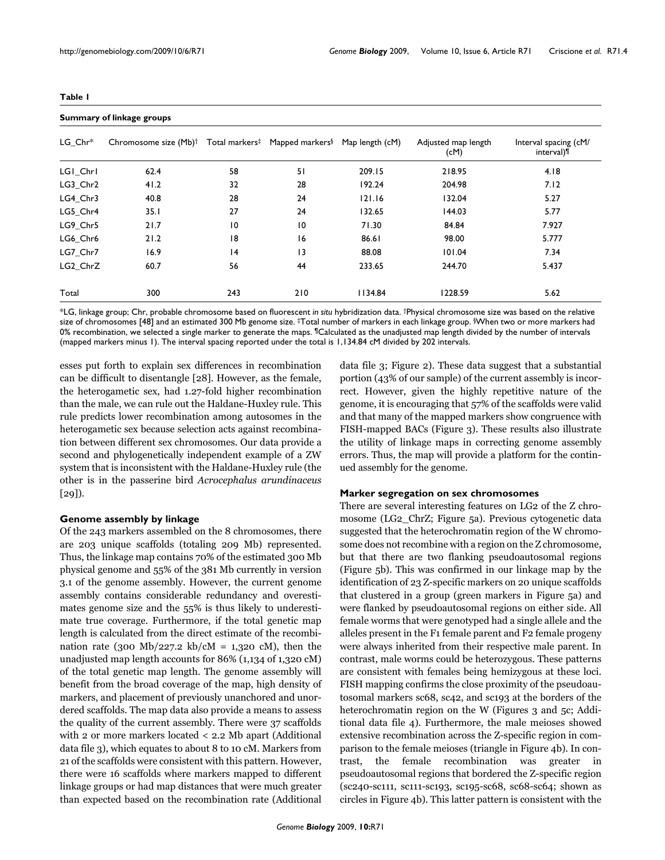**Summary of linkage groups**

| ٠ |  |
|---|--|
|---|--|

| LG Chr*  | Chromosome size (Mb) <sup>†</sup> | Total markers# | Mapped markers <sup>§</sup> | Map length (cM) | Adjusted map length<br>(CM) | Interval spacing (cM/<br>interval) <sup>¶</sup> |
|----------|-----------------------------------|----------------|-----------------------------|-----------------|-----------------------------|-------------------------------------------------|
| LGI_Chrl | 62.4                              | 58             | 51                          | 209.15          | 218.95                      | 4.18                                            |
| LG3 Chr2 | 41.2                              | 32             | 28                          | 192.24          | 204.98                      | 7.12                                            |
| LG4 Chr3 | 40.8                              | 28             | 24                          | 121.16          | 132.04                      | 5.27                                            |
| LG5 Chr4 | 35.1                              | 27             | 24                          | 132.65          | 144.03                      | 5.77                                            |
| LG9_Chr5 | 21.7                              | 10             | $\overline{10}$             | 71.30           | 84.84                       | 7.927                                           |
| LG6 Chr6 | 21.2                              | 18             | 16                          | 86.61           | 98.00                       | 5.777                                           |
| LG7 Chr7 | 16.9                              | 4              | 13                          | 88.08           | 101.04                      | 7.34                                            |
| LG2 ChrZ | 60.7                              | 56             | 44                          | 233.65          | 244.70                      | 5.437                                           |
| Total    | 300                               | 243            | 210                         | 1134.84         | 1228.59                     | 5.62                                            |

\*LG, linkage group; Chr, probable chromosome based on fluorescent *in situ* hybridization data. †Physical chromosome size was based on the relative size of chromosomes [48] and an estimated 300 Mb genome size. ‡Total number of markers in each linkage group. §When two or more markers had 0% recombination, we selected a single marker to generate the maps. ¶Calculated as the unadjusted map length divided by the number of intervals (mapped markers minus 1). The interval spacing reported under the total is 1,134.84 cM divided by 202 intervals.

esses put forth to explain sex differences in recombination can be difficult to disentangle [28]. However, as the female, the heterogametic sex, had 1.27-fold higher recombination than the male, we can rule out the Haldane-Huxley rule. This rule predicts lower recombination among autosomes in the heterogametic sex because selection acts against recombination between different sex chromosomes. Our data provide a second and phylogenetically independent example of a ZW system that is inconsistent with the Haldane-Huxley rule (the other is in the passerine bird *Acrocephalus arundinaceus*  $[29]$ .

# **Genome assembly by linkage**

Of the 243 markers assembled on the 8 chromosomes, there are 203 unique scaffolds (totaling 209 Mb) represented. Thus, the linkage map contains 70% of the estimated 300 Mb physical genome and 55% of the 381 Mb currently in version 3.1 of the genome assembly. However, the current genome assembly contains considerable redundancy and overestimates genome size and the 55% is thus likely to underestimate true coverage. Furthermore, if the total genetic map length is calculated from the direct estimate of the recombination rate (300 Mb/227.2 kb/cM = 1,320 cM), then the unadjusted map length accounts for 86% (1,134 of 1,320 cM) of the total genetic map length. The genome assembly will benefit from the broad coverage of the map, high density of markers, and placement of previously unanchored and unordered scaffolds. The map data also provide a means to assess the quality of the current assembly. There were 37 scaffolds with 2 or more markers located < 2.2 Mb apart (Additional data file 3), which equates to about 8 to 10 cM. Markers from 21 of the scaffolds were consistent with this pattern. However, there were 16 scaffolds where markers mapped to different linkage groups or had map distances that were much greater than expected based on the recombination rate (Additional data file 3; Figure 2). These data suggest that a substantial portion (43% of our sample) of the current assembly is incorrect. However, given the highly repetitive nature of the genome, it is encouraging that 57% of the scaffolds were valid and that many of the mapped markers show congruence with FISH-mapped BACs (Figure 3). These results also illustrate the utility of linkage maps in correcting genome assembly errors. Thus, the map will provide a platform for the continued assembly for the genome.

## **Marker segregation on sex chromosomes**

There are several interesting features on LG2 of the Z chromosome (LG2\_ChrZ; Figure 5a). Previous cytogenetic data suggested that the heterochromatin region of the W chromosome does not recombine with a region on the Z chromosome, but that there are two flanking pseudoautosomal regions (Figure 5b). This was confirmed in our linkage map by the identification of 23 Z-specific markers on 20 unique scaffolds that clustered in a group (green markers in Figure 5a) and were flanked by pseudoautosomal regions on either side. All female worms that were genotyped had a single allele and the alleles present in the F1 female parent and F2 female progeny were always inherited from their respective male parent. In contrast, male worms could be heterozygous. These patterns are consistent with females being hemizygous at these loci. FISH mapping confirms the close proximity of the pseudoautosomal markers sc68, sc42, and sc193 at the borders of the heterochromatin region on the W (Figures 3 and 5c; Additional data file 4). Furthermore, the male meioses showed extensive recombination across the Z-specific region in comparison to the female meioses (triangle in Figure 4b). In contrast, the female recombination was greater in pseudoautosomal regions that bordered the Z-specific region (sc240-sc111, sc111-sc193, sc195-sc68, sc68-sc64; shown as circles in Figure 4b). This latter pattern is consistent with the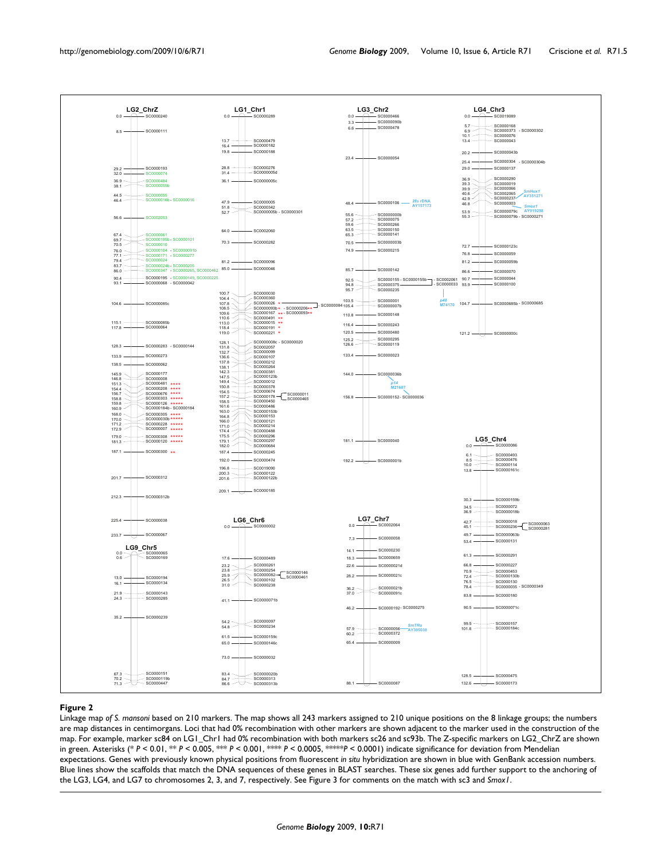

# **Figure 2**

Linkage map *of S. mansoni* based on 210 markers. The map shows all 243 markers assigned to 210 unique positions on the 8 linkage groups; the numbers are map distances in centimorgans. Loci that had 0% recombination with other markers are shown adjacent to the marker used in the construction of the map. For example, marker sc84 on LG1\_Chr1 had 0% recombination with both markers sc26 and sc93b. The Z-specific markers on LG2\_ChrZ are shown in green. Asterisks (\* *P* < 0.01, \*\* *P* < 0.005, \*\*\* *P* < 0.001, \*\*\*\* *P* < 0.0005, \*\*\*\*\**P* < 0.0001) indicate significance for deviation from Mendelian expectations. Genes with previously known physical positions from fluorescent *in situ* hybridization are shown in blue with GenBank accession numbers. Blue lines show the scaffolds that match the DNA sequences of these genes in BLAST searches. These six genes add further support to the anchoring of the LG3, LG4, and LG7 to chromosomes 2, 3, and 7, respectively. See Figure 3 for comments on the match with sc3 and *Smox1*.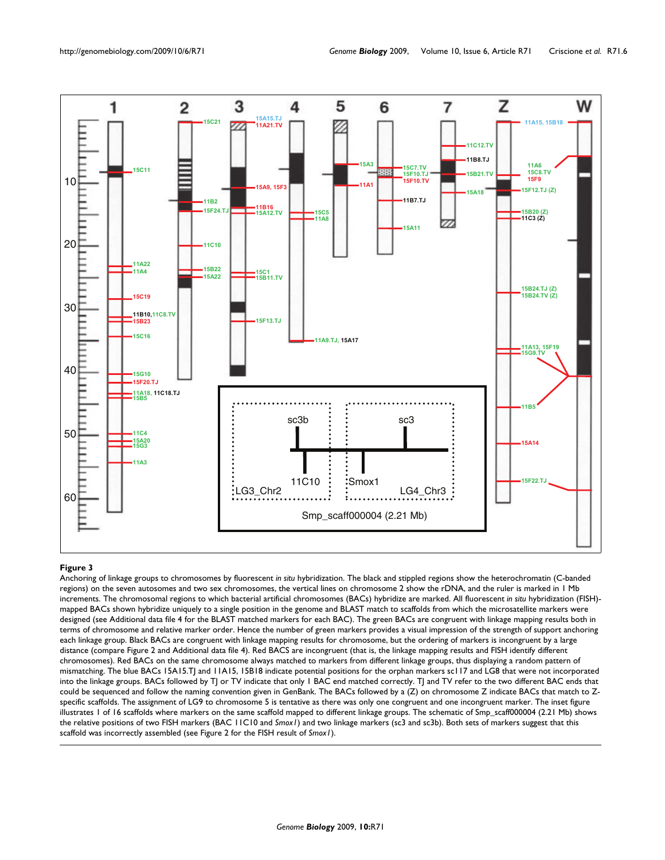

#### **Figure 3** Anchoring of linkage groups to chromosomes by fluorescent *in situ* hybridization

Anchoring of linkage groups to chromosomes by fluorescent *in situ* hybridization. The black and stippled regions show the heterochromatin (C-banded regions) on the seven autosomes and two sex chromosomes, the vertical lines on chromosome 2 show the rDNA, and the ruler is marked in 1 Mb increments. The chromosomal regions to which bacterial artificial chromosomes (BACs) hybridize are marked. All fluorescent *in situ* hybridization (FISH) mapped BACs shown hybridize uniquely to a single position in the genome and BLAST match to scaffolds from which the microsatellite markers were designed (see Additional data file 4 for the BLAST matched markers for each BAC). The green BACs are congruent with linkage mapping results both in terms of chromosome and relative marker order. Hence the number of green markers provides a visual impression of the strength of support anchoring each linkage group. Black BACs are congruent with linkage mapping results for chromosome, but the ordering of markers is incongruent by a large distance (compare Figure 2 and Additional data file 4). Red BACS are incongruent (that is, the linkage mapping results and FISH identify different chromosomes). Red BACs on the same chromosome always matched to markers from different linkage groups, thus displaying a random pattern of mismatching. The blue BACs 15A15.TJ and 11A15, 15B18 indicate potential positions for the orphan markers sc117 and LG8 that were not incorporated into the linkage groups. BACs followed by TJ or TV indicate that only 1 BAC end matched correctly. TJ and TV refer to the two different BAC ends that could be sequenced and follow the naming convention given in GenBank. The BACs followed by a (Z) on chromosome Z indicate BACs that match to Zspecific scaffolds. The assignment of LG9 to chromosome 5 is tentative as there was only one congruent and one incongruent marker. The inset figure illustrates 1 of 16 scaffolds where markers on the same scaffold mapped to different linkage groups. The schematic of Smp\_scaff000004 (2.21 Mb) shows the relative positions of two FISH markers (BAC 11C10 and *Smox1*) and two linkage markers (sc3 and sc3b). Both sets of markers suggest that this scaffold was incorrectly assembled (see Figure 2 for the FISH result of *Smox1*).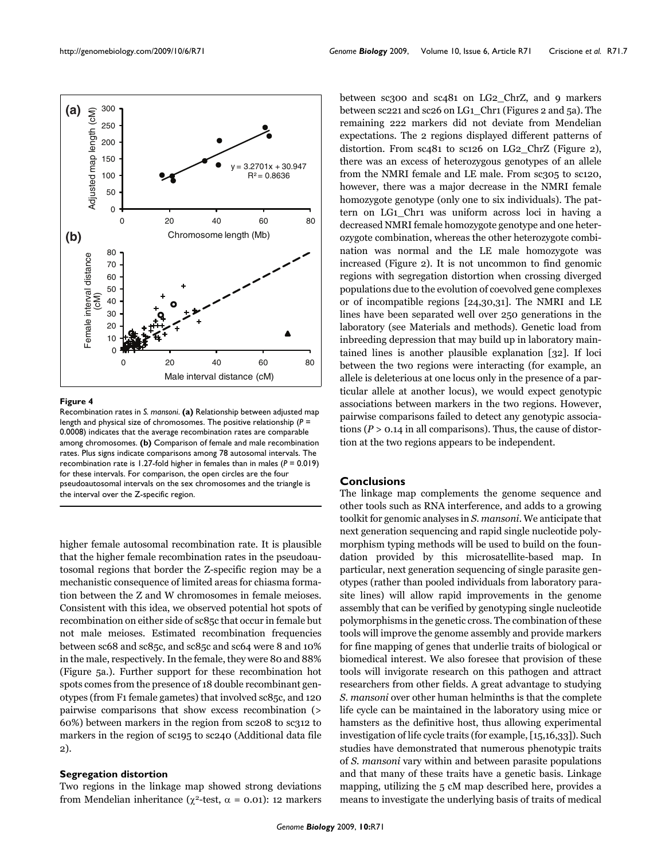

#### **Figure 4**

Recombination rates in *S. mansoni*. **(a)** Relationship between adjusted map length and physical size of chromosomes. The positive relationship (*P* = 0.0008) indicates that the average recombination rates are comparable among chromosomes. **(b)** Comparison of female and male recombination rates. Plus signs indicate comparisons among 78 autosomal intervals. The recombination rate is 1.27-fold higher in females than in males (*P* = 0.019) for these intervals. For comparison, the open circles are the four pseudoautosomal intervals on the sex chromosomes and the triangle is the interval over the Z-specific region.

higher female autosomal recombination rate. It is plausible that the higher female recombination rates in the pseudoautosomal regions that border the Z-specific region may be a mechanistic consequence of limited areas for chiasma formation between the Z and W chromosomes in female meioses. Consistent with this idea, we observed potential hot spots of recombination on either side of sc85c that occur in female but not male meioses. Estimated recombination frequencies between sc68 and sc85c, and sc85c and sc64 were 8 and 10% in the male, respectively. In the female, they were 80 and 88% (Figure 5a.). Further support for these recombination hot spots comes from the presence of 18 double recombinant genotypes (from F1 female gametes) that involved sc85c, and 120 pairwise comparisons that show excess recombination (> 60%) between markers in the region from sc208 to sc312 to markers in the region of sc195 to sc240 (Additional data file 2).

# **Segregation distortion**

Two regions in the linkage map showed strong deviations from Mendelian inheritance ( $χ$ <sup>2</sup>-test,  $α = 0.01$ ): 12 markers

between sc300 and sc481 on LG2\_ChrZ, and 9 markers between sc221 and sc26 on LG1\_Chr1 (Figures 2 and 5a). The remaining 222 markers did not deviate from Mendelian expectations. The 2 regions displayed different patterns of distortion. From sc481 to sc126 on LG2\_ChrZ (Figure 2), there was an excess of heterozygous genotypes of an allele from the NMRI female and LE male. From sc305 to sc120, however, there was a major decrease in the NMRI female homozygote genotype (only one to six individuals). The pattern on LG1\_Chr1 was uniform across loci in having a decreased NMRI female homozygote genotype and one heterozygote combination, whereas the other heterozygote combination was normal and the LE male homozygote was increased (Figure 2). It is not uncommon to find genomic regions with segregation distortion when crossing diverged populations due to the evolution of coevolved gene complexes or of incompatible regions [24,30,31]. The NMRI and LE lines have been separated well over 250 generations in the laboratory (see Materials and methods). Genetic load from inbreeding depression that may build up in laboratory maintained lines is another plausible explanation [32]. If loci between the two regions were interacting (for example, an allele is deleterious at one locus only in the presence of a particular allele at another locus), we would expect genotypic associations between markers in the two regions. However, pairwise comparisons failed to detect any genotypic associations (*P* > 0.14 in all comparisons). Thus, the cause of distortion at the two regions appears to be independent.

## **Conclusions**

The linkage map complements the genome sequence and other tools such as RNA interference, and adds to a growing toolkit for genomic analyses in *S. mansoni*. We anticipate that next generation sequencing and rapid single nucleotide polymorphism typing methods will be used to build on the foundation provided by this microsatellite-based map. In particular, next generation sequencing of single parasite genotypes (rather than pooled individuals from laboratory parasite lines) will allow rapid improvements in the genome assembly that can be verified by genotyping single nucleotide polymorphisms in the genetic cross. The combination of these tools will improve the genome assembly and provide markers for fine mapping of genes that underlie traits of biological or biomedical interest. We also foresee that provision of these tools will invigorate research on this pathogen and attract researchers from other fields. A great advantage to studying *S. mansoni* over other human helminths is that the complete life cycle can be maintained in the laboratory using mice or hamsters as the definitive host, thus allowing experimental investigation of life cycle traits (for example, [15,16,33]). Such studies have demonstrated that numerous phenotypic traits of *S. mansoni* vary within and between parasite populations and that many of these traits have a genetic basis. Linkage mapping, utilizing the 5 cM map described here, provides a means to investigate the underlying basis of traits of medical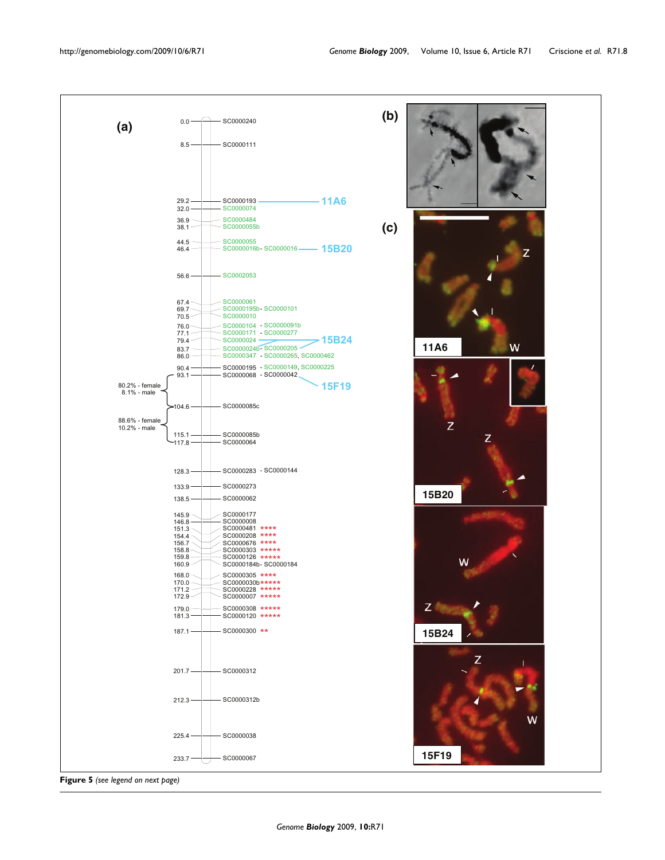

**Figure 5** *(see legend on next page)*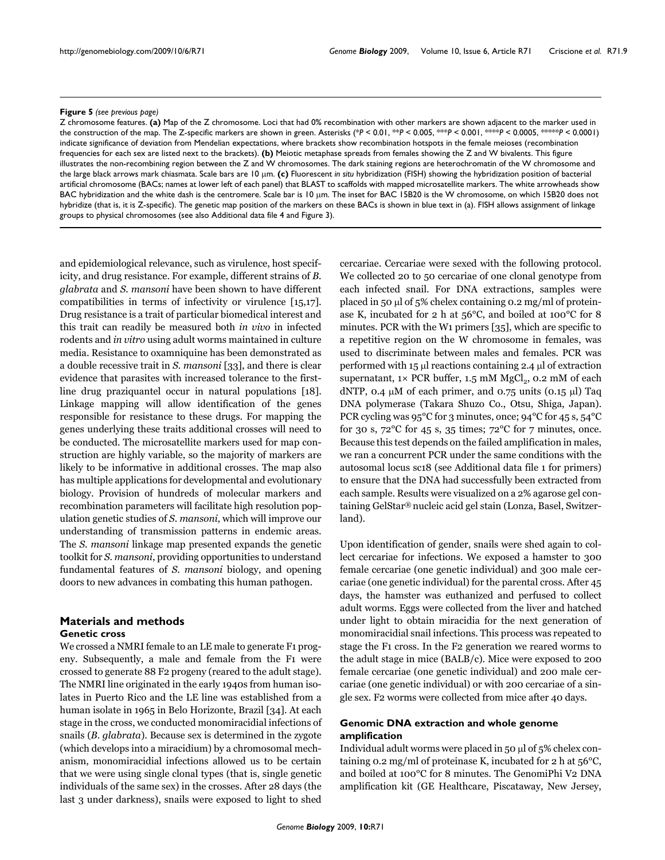#### **Figure 5** (see previous page)

Z chromosome features. **(a)** Map of the Z chromosome. Loci that had 0% recombination with other markers are shown adjacent to the marker used in the construction of the map. The Z-specific markers are shown in green. Asterisks (\**P* < 0.01, \*\**P* < 0.005, \*\*\**P* < 0.001, \*\*\*\**P* < 0.0005, \*\*\*\*\**P* < 0.0001) indicate significance of deviation from Mendelian expectations, where brackets show recombination hotspots in the female meioses (recombination frequencies for each sex are listed next to the brackets). **(b)** Meiotic metaphase spreads from females showing the Z and W bivalents. This figure illustrates the non-recombining region between the Z and W chromosomes. The dark staining regions are heterochromatin of the W chromosome and the large black arrows mark chiasmata. Scale bars are 10 μm. **(c)** Fluorescent *in situ* hybridization (FISH) showing the hybridization position of bacterial artificial chromosome (BACs; names at lower left of each panel) that BLAST to scaffolds with mapped microsatellite markers. The white arrowheads show BAC hybridization and the white dash is the centromere. Scale bar is 10 μm. The inset for BAC 15B20 is the W chromosome, on which 15B20 does not hybridize (that is, it is Z-specific). The genetic map position of the markers on these BACs is shown in blue text in (a). FISH allows assignment of linkage groups to physical chromosomes (see also Additional data file 4 and Figure 3).

and epidemiological relevance, such as virulence, host specificity, and drug resistance. For example, different strains of *B. glabrata* and *S. mansoni* have been shown to have different compatibilities in terms of infectivity or virulence [15,17]. Drug resistance is a trait of particular biomedical interest and this trait can readily be measured both *in vivo* in infected rodents and *in vitro* using adult worms maintained in culture media. Resistance to oxamniquine has been demonstrated as a double recessive trait in *S. mansoni* [33], and there is clear evidence that parasites with increased tolerance to the firstline drug praziquantel occur in natural populations [18]. Linkage mapping will allow identification of the genes responsible for resistance to these drugs. For mapping the genes underlying these traits additional crosses will need to be conducted. The microsatellite markers used for map construction are highly variable, so the majority of markers are likely to be informative in additional crosses. The map also has multiple applications for developmental and evolutionary biology. Provision of hundreds of molecular markers and recombination parameters will facilitate high resolution population genetic studies of *S. mansoni*, which will improve our understanding of transmission patterns in endemic areas. The *S. mansoni* linkage map presented expands the genetic toolkit for *S. mansoni*, providing opportunities to understand fundamental features of *S. mansoni* biology, and opening doors to new advances in combating this human pathogen.

# **Materials and methods Genetic cross**

We crossed a NMRI female to an LE male to generate F1 progeny. Subsequently, a male and female from the F1 were crossed to generate 88 F2 progeny (reared to the adult stage). The NMRI line originated in the early 1940s from human isolates in Puerto Rico and the LE line was established from a human isolate in 1965 in Belo Horizonte, Brazil [34]. At each stage in the cross, we conducted monomiracidial infections of snails (*B. glabrata*). Because sex is determined in the zygote (which develops into a miracidium) by a chromosomal mechanism, monomiracidial infections allowed us to be certain that we were using single clonal types (that is, single genetic individuals of the same sex) in the crosses. After 28 days (the last 3 under darkness), snails were exposed to light to shed cercariae. Cercariae were sexed with the following protocol. We collected 20 to 50 cercariae of one clonal genotype from each infected snail. For DNA extractions, samples were placed in 50 μl of 5% chelex containing 0.2 mg/ml of proteinase K, incubated for 2 h at 56°C, and boiled at 100°C for 8 minutes. PCR with the W1 primers [35], which are specific to a repetitive region on the W chromosome in females, was used to discriminate between males and females. PCR was performed with 15 μl reactions containing 2.4 μl of extraction supernatant,  $1 \times PCR$  buffer,  $1.5$  mM  $MgCl<sub>2</sub>$ ,  $0.2$  mM of each dNTP, 0.4  $\mu$ M of each primer, and 0.75 units (0.15  $\mu$ l) Taq DNA polymerase (Takara Shuzo Co., Otsu, Shiga, Japan). PCR cycling was 95°C for 3 minutes, once; 94°C for 45 s, 54°C for 30 s,  $72^{\circ}$ C for 45 s, 35 times;  $72^{\circ}$ C for 7 minutes, once. Because this test depends on the failed amplification in males, we ran a concurrent PCR under the same conditions with the autosomal locus sc18 (see Additional data file 1 for primers) to ensure that the DNA had successfully been extracted from each sample. Results were visualized on a 2% agarose gel containing GelStar® nucleic acid gel stain (Lonza, Basel, Switzerland).

Upon identification of gender, snails were shed again to collect cercariae for infections. We exposed a hamster to 300 female cercariae (one genetic individual) and 300 male cercariae (one genetic individual) for the parental cross. After 45 days, the hamster was euthanized and perfused to collect adult worms. Eggs were collected from the liver and hatched under light to obtain miracidia for the next generation of monomiracidial snail infections. This process was repeated to stage the F1 cross. In the F2 generation we reared worms to the adult stage in mice (BALB/c). Mice were exposed to 200 female cercariae (one genetic individual) and 200 male cercariae (one genetic individual) or with 200 cercariae of a single sex. F2 worms were collected from mice after 40 days.

# **Genomic DNA extraction and whole genome amplification**

Individual adult worms were placed in 50 μl of 5% chelex containing 0.2 mg/ml of proteinase K, incubated for 2 h at  $56^{\circ}$ C, and boiled at 100°C for 8 minutes. The GenomiPhi V2 DNA amplification kit (GE Healthcare, Piscataway, New Jersey,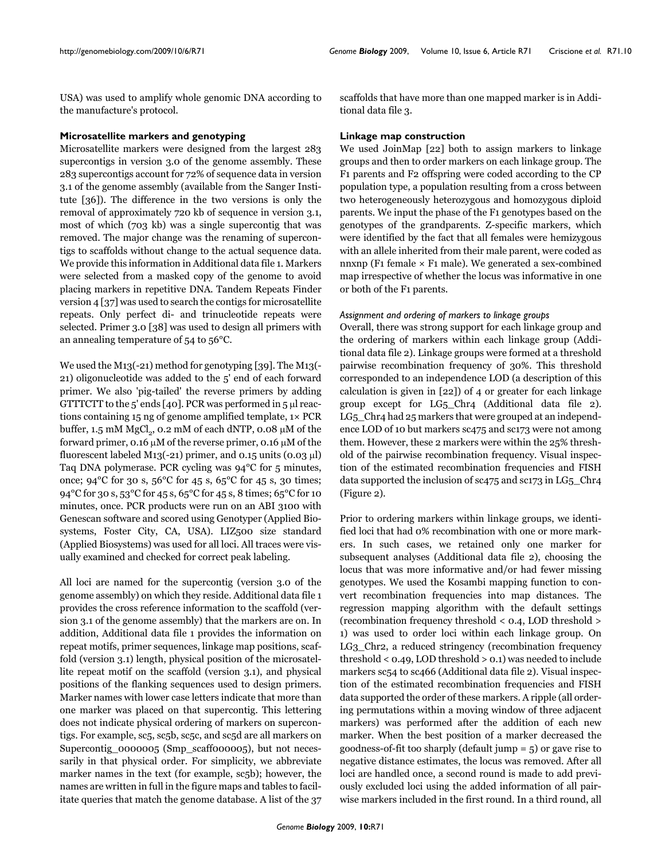USA) was used to amplify whole genomic DNA according to the manufacture's protocol.

# **Microsatellite markers and genotyping**

Microsatellite markers were designed from the largest 283 supercontigs in version 3.0 of the genome assembly. These 283 supercontigs account for 72% of sequence data in version 3.1 of the genome assembly (available from the Sanger Institute [36]). The difference in the two versions is only the removal of approximately 720 kb of sequence in version 3.1, most of which (703 kb) was a single supercontig that was removed. The major change was the renaming of supercontigs to scaffolds without change to the actual sequence data. We provide this information in Additional data file 1. Markers were selected from a masked copy of the genome to avoid placing markers in repetitive DNA. Tandem Repeats Finder version 4 [37] was used to search the contigs for microsatellite repeats. Only perfect di- and trinucleotide repeats were selected. Primer 3.0 [38] was used to design all primers with an annealing temperature of 54 to 56°C.

We used the M13(-21) method for genotyping [39]. The M13(- 21) oligonucleotide was added to the 5' end of each forward primer. We also 'pig-tailed' the reverse primers by adding GTTTCTT to the 5' ends [40]. PCR was performed in 5 μl reactions containing 15 ng of genome amplified template, 1× PCR buffer,  $1.5$  mM MgCl<sub>2</sub>,  $0.2$  mM of each dNTP,  $0.08 \mu$ M of the forward primer, 0.16 μM of the reverse primer, 0.16 μM of the fluorescent labeled M13(-21) primer, and  $0.15$  units  $(0.03 \mu l)$ Taq DNA polymerase. PCR cycling was 94°C for 5 minutes, once;  $94^{\circ}$ C for 30 s,  $56^{\circ}$ C for 45 s,  $65^{\circ}$ C for 45 s, 30 times; 94°C for 30 s, 53°C for 45 s, 65°C for 45 s, 8 times; 65°C for 10 minutes, once. PCR products were run on an ABI 3100 with Genescan software and scored using Genotyper (Applied Biosystems, Foster City, CA, USA). LIZ500 size standard (Applied Biosystems) was used for all loci. All traces were visually examined and checked for correct peak labeling.

All loci are named for the supercontig (version 3.0 of the genome assembly) on which they reside. Additional data file 1 provides the cross reference information to the scaffold (version 3.1 of the genome assembly) that the markers are on. In addition, Additional data file 1 provides the information on repeat motifs, primer sequences, linkage map positions, scaffold (version 3.1) length, physical position of the microsatellite repeat motif on the scaffold (version 3.1), and physical positions of the flanking sequences used to design primers. Marker names with lower case letters indicate that more than one marker was placed on that supercontig. This lettering does not indicate physical ordering of markers on supercontigs. For example, sc5, sc5b, sc5c, and sc5d are all markers on Supercontig\_0000005 (Smp\_scaff000005), but not necessarily in that physical order. For simplicity, we abbreviate marker names in the text (for example, sc5b); however, the names are written in full in the figure maps and tables to facilitate queries that match the genome database. A list of the 37

scaffolds that have more than one mapped marker is in Additional data file 3.

# **Linkage map construction**

We used JoinMap [22] both to assign markers to linkage groups and then to order markers on each linkage group. The F1 parents and F2 offspring were coded according to the CP population type, a population resulting from a cross between two heterogeneously heterozygous and homozygous diploid parents. We input the phase of the F1 genotypes based on the genotypes of the grandparents. Z-specific markers, which were identified by the fact that all females were hemizygous with an allele inherited from their male parent, were coded as nnxnp (F1 female  $\times$  F1 male). We generated a sex-combined map irrespective of whether the locus was informative in one or both of the F1 parents.

# *Assignment and ordering of markers to linkage groups*

Overall, there was strong support for each linkage group and the ordering of markers within each linkage group (Additional data file 2). Linkage groups were formed at a threshold pairwise recombination frequency of 30%. This threshold corresponded to an independence LOD (a description of this calculation is given in [22]) of 4 or greater for each linkage group except for LG5\_Chr4 (Additional data file 2). LG5\_Chr4 had 25 markers that were grouped at an independence LOD of 10 but markers sc475 and sc173 were not among them. However, these 2 markers were within the 25% threshold of the pairwise recombination frequency. Visual inspection of the estimated recombination frequencies and FISH data supported the inclusion of sc475 and sc173 in LG5 Chr4 (Figure 2).

Prior to ordering markers within linkage groups, we identified loci that had 0% recombination with one or more markers. In such cases, we retained only one marker for subsequent analyses (Additional data file 2), choosing the locus that was more informative and/or had fewer missing genotypes. We used the Kosambi mapping function to convert recombination frequencies into map distances. The regression mapping algorithm with the default settings (recombination frequency threshold < 0.4, LOD threshold > 1) was used to order loci within each linkage group. On LG3\_Chr2, a reduced stringency (recombination frequency threshold < 0.49, LOD threshold > 0.1) was needed to include markers sc54 to sc466 (Additional data file 2). Visual inspection of the estimated recombination frequencies and FISH data supported the order of these markers. A ripple (all ordering permutations within a moving window of three adjacent markers) was performed after the addition of each new marker. When the best position of a marker decreased the goodness-of-fit too sharply (default jump = 5) or gave rise to negative distance estimates, the locus was removed. After all loci are handled once, a second round is made to add previously excluded loci using the added information of all pairwise markers included in the first round. In a third round, all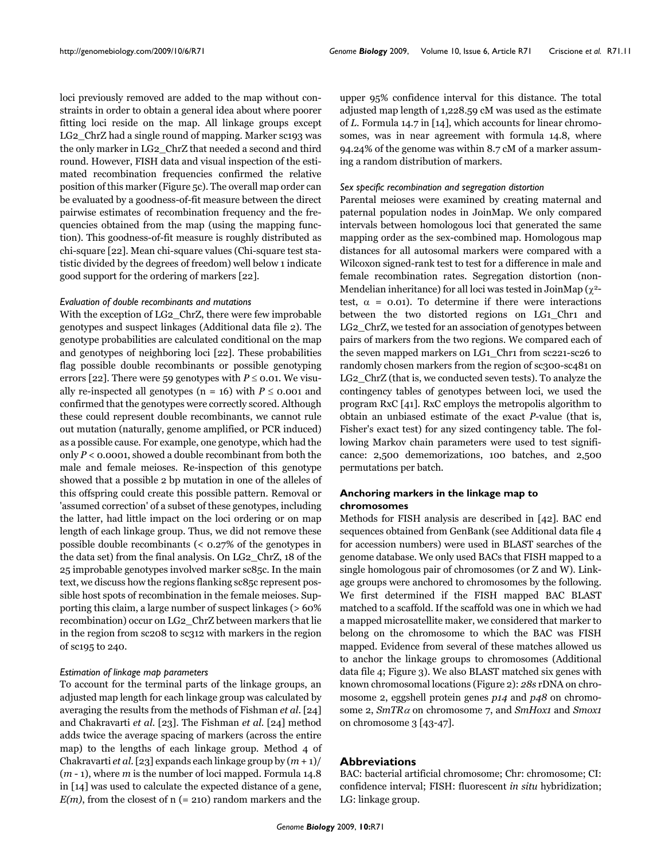loci previously removed are added to the map without constraints in order to obtain a general idea about where poorer fitting loci reside on the map. All linkage groups except LG2 ChrZ had a single round of mapping. Marker sc193 was the only marker in LG2\_ChrZ that needed a second and third round. However, FISH data and visual inspection of the estimated recombination frequencies confirmed the relative position of this marker (Figure 5c). The overall map order can be evaluated by a goodness-of-fit measure between the direct pairwise estimates of recombination frequency and the frequencies obtained from the map (using the mapping function). This goodness-of-fit measure is roughly distributed as chi-square [22]. Mean chi-square values (Chi-square test statistic divided by the degrees of freedom) well below 1 indicate good support for the ordering of markers [22].

#### *Evaluation of double recombinants and mutations*

With the exception of LG2\_ChrZ, there were few improbable genotypes and suspect linkages (Additional data file 2). The genotype probabilities are calculated conditional on the map and genotypes of neighboring loci [22]. These probabilities flag possible double recombinants or possible genotyping errors [22]. There were 59 genotypes with  $P \le 0.01$ . We visually re-inspected all genotypes (n = 16) with  $P \le 0.001$  and confirmed that the genotypes were correctly scored. Although these could represent double recombinants, we cannot rule out mutation (naturally, genome amplified, or PCR induced) as a possible cause. For example, one genotype, which had the only  $P < 0.0001$ , showed a double recombinant from both the male and female meioses. Re-inspection of this genotype showed that a possible 2 bp mutation in one of the alleles of this offspring could create this possible pattern. Removal or 'assumed correction' of a subset of these genotypes, including the latter, had little impact on the loci ordering or on map length of each linkage group. Thus, we did not remove these possible double recombinants (< 0.27% of the genotypes in the data set) from the final analysis. On LG2\_ChrZ, 18 of the 25 improbable genotypes involved marker sc85c. In the main text, we discuss how the regions flanking sc85c represent possible host spots of recombination in the female meioses. Supporting this claim, a large number of suspect linkages (> 60% recombination) occur on LG2\_ChrZ between markers that lie in the region from sc208 to sc312 with markers in the region of sc195 to 240.

#### *Estimation of linkage map parameters*

To account for the terminal parts of the linkage groups, an adjusted map length for each linkage group was calculated by averaging the results from the methods of Fishman *et al*. [24] and Chakravarti *et al*. [23]. The Fishman *et al*. [24] method adds twice the average spacing of markers (across the entire map) to the lengths of each linkage group. Method 4 of Chakravarti *et al*. [23] expands each linkage group by (*m* + 1)/ (*m* - 1), where *m* is the number of loci mapped. Formula 14.8 in [14] was used to calculate the expected distance of a gene,  $E(m)$ , from the closest of n (= 210) random markers and the

upper 95% confidence interval for this distance. The total adjusted map length of 1,228.59 cM was used as the estimate of *L*. Formula 14.7 in [14], which accounts for linear chromosomes, was in near agreement with formula 14.8, where 94.24% of the genome was within 8.7 cM of a marker assuming a random distribution of markers.

#### *Sex specific recombination and segregation distortion*

Parental meioses were examined by creating maternal and paternal population nodes in JoinMap. We only compared intervals between homologous loci that generated the same mapping order as the sex-combined map. Homologous map distances for all autosomal markers were compared with a Wilcoxon signed-rank test to test for a difference in male and female recombination rates. Segregation distortion (non-Mendelian inheritance) for all loci was tested in JoinMap ( $\chi^2$ test,  $\alpha$  = 0.01). To determine if there were interactions between the two distorted regions on LG1\_Chr1 and LG<sub>2</sub> ChrZ, we tested for an association of genotypes between pairs of markers from the two regions. We compared each of the seven mapped markers on LG1\_Chr1 from sc221-sc26 to randomly chosen markers from the region of sc300-sc481 on LG2\_ChrZ (that is, we conducted seven tests). To analyze the contingency tables of genotypes between loci, we used the program RxC [41]. RxC employs the metropolis algorithm to obtain an unbiased estimate of the exact *P*-value (that is, Fisher's exact test) for any sized contingency table. The following Markov chain parameters were used to test significance: 2,500 dememorizations, 100 batches, and 2,500 permutations per batch.

# **Anchoring markers in the linkage map to chromosomes**

Methods for FISH analysis are described in [42]. BAC end sequences obtained from GenBank (see Additional data file 4 for accession numbers) were used in BLAST searches of the genome database. We only used BACs that FISH mapped to a single homologous pair of chromosomes (or Z and W). Linkage groups were anchored to chromosomes by the following. We first determined if the FISH mapped BAC BLAST matched to a scaffold. If the scaffold was one in which we had a mapped microsatellite maker, we considered that marker to belong on the chromosome to which the BAC was FISH mapped. Evidence from several of these matches allowed us to anchor the linkage groups to chromosomes (Additional data file 4; Figure 3). We also BLAST matched six genes with known chromosomal locations (Figure 2): *28s* rDNA on chromosome 2, eggshell protein genes *p14* and *p48* on chromosome 2, *SmTR*<sup>α</sup> on chromosome 7, and *SmHox1* and *Smox1* on chromosome 3 [43-47].

# **Abbreviations**

BAC: bacterial artificial chromosome; Chr: chromosome; CI: confidence interval; FISH: fluorescent *in situ* hybridization; LG: linkage group.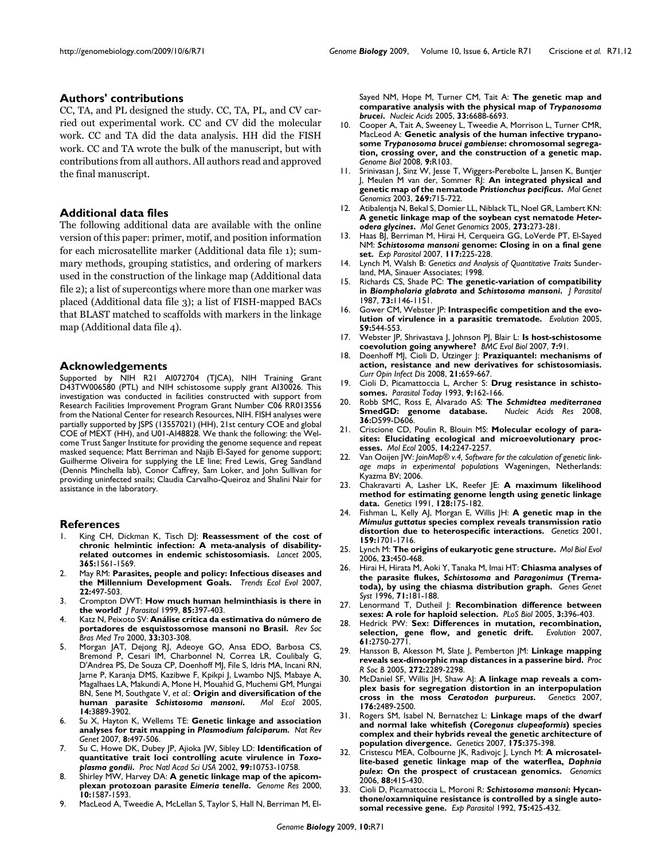# **Authors' contributions**

CC, TA, and PL designed the study. CC, TA, PL, and CV carried out experimental work. CC and CV did the molecular work. CC and TA did the data analysis. HH did the FISH work. CC and TA wrote the bulk of the manuscript, but with contributions from all authors. All authors read and approved the final manuscript.

#### **Additional data files**

The following additional data are available with the online version of this paper: primer, motif, and position information for each microsatellite marker (Additional data file 1); summary methods, grouping statistics, and ordering of markers used in the construction of the linkage map (Additional data file 2); a list of supercontigs where more than one marker was placed (Additional data file 3); a list of FISH-mapped BACs that BLAST matched to scaffolds with markers in the linkage map (Additional data file 4).

#### **Acknowledgements**

Supported by NIH R21 AI072704 (TJCA), NIH Training Grant D43TW006580 (PTL) and NIH schistosome supply grant AI30026. This investigation was conducted in facilities constructed with support from Research Facilities Improvement Program Grant Number C06 RR013556 from the National Center for research Resources, NIH. FISH analyses were partially supported by JSPS (13557021) (HH), 21st century COE and global COE of MEXT (HH), and U01-AI48828. We thank the following: the Welcome Trust Sanger Institute for providing the genome sequence and repeat masked sequence; Matt Berriman and Najib El-Sayed for genome support; Guilherme Oliveira for supplying the LE line; Fred Lewis, Greg Sandland (Dennis Minchella lab), Conor Caffrey, Sam Loker, and John Sullivan for providing uninfected snails; Claudia Carvalho-Queiroz and Shalini Nair for assistance in the laboratory.

#### **References**

- King CH, Dickman K, Tisch DJ: **[Reassessment of the cost of](http://www.ncbi.nlm.nih.gov/entrez/query.fcgi?cmd=Retrieve&db=PubMed&dopt=Abstract&list_uids=15866310) [chronic helmintic infection: A meta-analysis of disability](http://www.ncbi.nlm.nih.gov/entrez/query.fcgi?cmd=Retrieve&db=PubMed&dopt=Abstract&list_uids=15866310)[related outcomes in endemic schistosomiasis.](http://www.ncbi.nlm.nih.gov/entrez/query.fcgi?cmd=Retrieve&db=PubMed&dopt=Abstract&list_uids=15866310)** *Lancet* 2005, **365:**1561-1569.
- 2. May RM: **[Parasites, people and policy: Infectious diseases and](http://www.ncbi.nlm.nih.gov/entrez/query.fcgi?cmd=Retrieve&db=PubMed&dopt=Abstract&list_uids=17904247) [the Millennium Development Goals.](http://www.ncbi.nlm.nih.gov/entrez/query.fcgi?cmd=Retrieve&db=PubMed&dopt=Abstract&list_uids=17904247)** *Trends Ecol Evol* 2007, **22:**497-503.
- 3. Crompton DWT: **[How much human helminthiasis is there in](http://www.ncbi.nlm.nih.gov/entrez/query.fcgi?cmd=Retrieve&db=PubMed&dopt=Abstract&list_uids=10386428) [the world?](http://www.ncbi.nlm.nih.gov/entrez/query.fcgi?cmd=Retrieve&db=PubMed&dopt=Abstract&list_uids=10386428)** *J Parasitol* 1999, **85:**397-403.
- 4. Katz N, Peixoto SV: **Análise crítica da estimativa do número de portadores de esquistossomose mansoni no Brasil.** *Rev Soc Bras Med Tro* 2000, **33:**303-308.
- 5. Morgan JAT, Dejong RJ, Adeoye GO, Ansa EDO, Barbosa CS, Bremond P, Cesari IM, Charbonnel N, Correa LR, Coulibaly G, D'Andrea PS, De Souza CP, Doenhoff MJ, File S, Idris MA, Incani RN, Jarne P, Karanja DMS, Kazibwe F, Kpikpi J, Lwambo NJS, Mabaye A, Magalhaes LA, Makundi A, Mone H, Mouahid G, Muchemi GM, Mungai BN, Sene M, Southgate V, *et al.*: **Origin and diversification of the**  $human$  parasite *Schistosoma mansoni*[.](http://www.ncbi.nlm.nih.gov/entrez/query.fcgi?cmd=Retrieve&db=PubMed&dopt=Abstract&list_uids=16202103) **14:**3889-3902.
- 6. Su X, Hayton K, Wellems TE: **Genetic linkage and association analyses for trait mapping in** *Plasmodium falciparum. Nat Rev Genet* 2007, **8:**497-506.
- 7. Su C, Howe DK, Dubey JP, Ajioka JW, Sibley LD: **Identification of quantitative trait loci controlling acute virulence in** *Toxoplasma gondii***[.](http://www.ncbi.nlm.nih.gov/entrez/query.fcgi?cmd=Retrieve&db=PubMed&dopt=Abstract&list_uids=12149482)** *Proc Natl Acad Sci USA* 2002, **99:**10753-10758.
- 8. Shirley MW, Harvey DA: **A genetic linkage map of the apicomplexan protozoan parasite** *Eimeria tenella***[.](http://www.ncbi.nlm.nih.gov/entrez/query.fcgi?cmd=Retrieve&db=PubMed&dopt=Abstract&list_uids=11042156)** *Genome Res* 2000, **10:**1587-1593.
- 9. MacLeod A, Tweedie A, McLellan S, Taylor S, Hall N, Berriman M, El-

Sayed NM, Hope M, Turner CM, Tait A: **The genetic map and comparative analysis with the physical map of** *Trypanosoma brucei***.** *Nucleic Acids* 2005, **33:**6688-6693.

- 10. Cooper A, Tait A, Sweeney L, Tweedie A, Morrison L, Turner CMR, MacLeod A: **Genetic analysis of the human infective trypanosome** *Trypanosoma brucei gambiense***[: chromosomal segrega](http://www.ncbi.nlm.nih.gov/entrez/query.fcgi?cmd=Retrieve&db=PubMed&dopt=Abstract&list_uids=18570680)[tion, crossing over, and the construction of a genetic map.](http://www.ncbi.nlm.nih.gov/entrez/query.fcgi?cmd=Retrieve&db=PubMed&dopt=Abstract&list_uids=18570680)** *Genome Biol* 2008, **9:**R103.
- 11. Srinivasan J, Sinz W, Jesse T, Wiggers-Perebolte L, Jansen K, Buntjer J, Meulen M van der, Sommer RJ: **An integrated physical and genetic map of the nematode** *Pristionchus pacificus***[.](http://www.ncbi.nlm.nih.gov/entrez/query.fcgi?cmd=Retrieve&db=PubMed&dopt=Abstract&list_uids=12884007)** *Mol Genet Genomics* 2003, **269:**715-722.
- 12. Atibalentja N, Bekal S, Domier LL, Niblack TL, Noel GR, Lambert KN: **A genetic linkage map of the soybean cyst nematode** *Heterodera glycines***[.](http://www.ncbi.nlm.nih.gov/entrez/query.fcgi?cmd=Retrieve&db=PubMed&dopt=Abstract&list_uids=15902493)** *Mol Genet Genomics* 2005, **273:**273-281.
- 13. Haas BJ, Berriman M, Hirai H, Cerqueira GG, LoVerde PT, El-Sayed NM: *Schistosoma mansoni* **[genome: Closing in on a final gene](http://www.ncbi.nlm.nih.gov/entrez/query.fcgi?cmd=Retrieve&db=PubMed&dopt=Abstract&list_uids=17643433) [set.](http://www.ncbi.nlm.nih.gov/entrez/query.fcgi?cmd=Retrieve&db=PubMed&dopt=Abstract&list_uids=17643433)** *Exp Parasitol* 2007, **117:**225-228.
- 14. Lynch M, Walsh B: *Genetics and Analysis of Quantitative Traits* Sunderland, MA, Sinauer Associates; 1998.
- 15. Richards CS, Shade PC: **The genetic-variation of compatibility in** *Biomphalaria glabrata* **and** *Schistosoma mansoni***[.](http://www.ncbi.nlm.nih.gov/entrez/query.fcgi?cmd=Retrieve&db=PubMed&dopt=Abstract&list_uids=3437352)** *J Parasitol* 1987, **73:**1146-1151.
- 16. Gower CM, Webster JP: **[Intraspecific competition and the evo](http://www.ncbi.nlm.nih.gov/entrez/query.fcgi?cmd=Retrieve&db=PubMed&dopt=Abstract&list_uids=15856697)[lution of virulence in a parasitic trematode.](http://www.ncbi.nlm.nih.gov/entrez/query.fcgi?cmd=Retrieve&db=PubMed&dopt=Abstract&list_uids=15856697)** *Evolution* 2005, **59:**544-553.
- 17. Webster JP, Shrivastava J, Johnson PJ, Blair L: **[Is host-schistosome](http://www.ncbi.nlm.nih.gov/entrez/query.fcgi?cmd=Retrieve&db=PubMed&dopt=Abstract&list_uids=17567519) [coevolution going anywhere?](http://www.ncbi.nlm.nih.gov/entrez/query.fcgi?cmd=Retrieve&db=PubMed&dopt=Abstract&list_uids=17567519)** *BMC Evol Biol* 2007, **7:**91.
- 18. Doenhoff MJ, Cioli D, Utzinger J: **[Praziquantel: mechanisms of](http://www.ncbi.nlm.nih.gov/entrez/query.fcgi?cmd=Retrieve&db=PubMed&dopt=Abstract&list_uids=18978535) [action, resistance and new derivatives for schistosomiasis.](http://www.ncbi.nlm.nih.gov/entrez/query.fcgi?cmd=Retrieve&db=PubMed&dopt=Abstract&list_uids=18978535)** *Curr Opin Infect Dis* 2008, **21:**659-667.
- 19. Cioli D, Picamattoccia L, Archer S: **[Drug resistance in schisto](http://www.ncbi.nlm.nih.gov/entrez/query.fcgi?cmd=Retrieve&db=PubMed&dopt=Abstract&list_uids=15463744)[somes.](http://www.ncbi.nlm.nih.gov/entrez/query.fcgi?cmd=Retrieve&db=PubMed&dopt=Abstract&list_uids=15463744)** *Parasitol Today* 1993, **9:**162-166.
- 20. Robb SMC, Ross E, Alvarado AS: **The** *Schmidtea mediterranea* [SmedGD: genome database.](http://www.ncbi.nlm.nih.gov/entrez/query.fcgi?cmd=Retrieve&db=PubMed&dopt=Abstract&list_uids=17881371) **36:**D599-D606.
- 21. Criscione CD, Poulin R, Blouin MS: **[Molecular ecology of para](http://www.ncbi.nlm.nih.gov/entrez/query.fcgi?cmd=Retrieve&db=PubMed&dopt=Abstract&list_uids=15969711)[sites: Elucidating ecological and microevolutionary proc](http://www.ncbi.nlm.nih.gov/entrez/query.fcgi?cmd=Retrieve&db=PubMed&dopt=Abstract&list_uids=15969711)[esses.](http://www.ncbi.nlm.nih.gov/entrez/query.fcgi?cmd=Retrieve&db=PubMed&dopt=Abstract&list_uids=15969711)** *Mol Ecol* 2005, **14:**2247-2257.
- 22. Van Ooijen JW: *JoinMap® v.4, Software for the calculation of genetic linkage maps in experimental populations* Wageningen, Netherlands: Kyazma BV; 2006.
- 23. Chakravarti A, Lasher LK, Reefer JE: **[A maximum likelihood](http://www.ncbi.nlm.nih.gov/entrez/query.fcgi?cmd=Retrieve&db=PubMed&dopt=Abstract&list_uids=2060775) [method for estimating genome length using genetic linkage](http://www.ncbi.nlm.nih.gov/entrez/query.fcgi?cmd=Retrieve&db=PubMed&dopt=Abstract&list_uids=2060775) [data.](http://www.ncbi.nlm.nih.gov/entrez/query.fcgi?cmd=Retrieve&db=PubMed&dopt=Abstract&list_uids=2060775)** *Genetics* 1991, **128:**175-182.
- 24. Fishman L, Kelly AJ, Morgan E, Willis JH: **A genetic map in the** *Mimulus guttatus* **[species complex reveals transmission ratio](http://www.ncbi.nlm.nih.gov/entrez/query.fcgi?cmd=Retrieve&db=PubMed&dopt=Abstract&list_uids=11779808) [distortion due to heterospecific interactions.](http://www.ncbi.nlm.nih.gov/entrez/query.fcgi?cmd=Retrieve&db=PubMed&dopt=Abstract&list_uids=11779808)** *Genetics* 2001, **159:**1701-1716.
- 25. Lynch M: **[The origins of eukaryotic gene structure.](http://www.ncbi.nlm.nih.gov/entrez/query.fcgi?cmd=Retrieve&db=PubMed&dopt=Abstract&list_uids=16280547)** *Mol Biol Evol* 2006, **23:**450-468.
- 26. Hirai H, Hirata M, Aoki Y, Tanaka M, Imai HT: **Chiasma analyses of the parasite flukes,** *Schistosoma* **and** *Paragonimus* **(Trematoda), by using the chiasma distribution graph.** *Genes Genet Syst* 1996, **71:**181-188.
- 27. Lenormand T, Dutheil J: **Recombination difference between sexes: A role for haploid selection.** *PLoS Biol* 2005, **3:**396-403.
- 28. Hedrick PW: **[Sex: Differences in mutation, recombination,](http://www.ncbi.nlm.nih.gov/entrez/query.fcgi?cmd=Retrieve&db=PubMed&dopt=Abstract&list_uids=17976181) [selection, gene flow, and genetic drift.](http://www.ncbi.nlm.nih.gov/entrez/query.fcgi?cmd=Retrieve&db=PubMed&dopt=Abstract&list_uids=17976181)** *Evolution* 2007, **61:**2750-2771.
- 29. Hansson B, Akesson M, Slate J, Pemberton JM: **[Linkage mapping](http://www.ncbi.nlm.nih.gov/entrez/query.fcgi?cmd=Retrieve&db=PubMed&dopt=Abstract&list_uids=16191642) [reveals sex-dimorphic map distances in a passerine bird.](http://www.ncbi.nlm.nih.gov/entrez/query.fcgi?cmd=Retrieve&db=PubMed&dopt=Abstract&list_uids=16191642)** *Proc R Soc B* 2005, **272:**2289-2298.
- 30. McDaniel SF, Willis JH, Shaw AJ: **A linkage map reveals a complex basis for segregation distortion in an interpopulation cross in the moss** *Ceratodon purpureus***[.](http://www.ncbi.nlm.nih.gov/entrez/query.fcgi?cmd=Retrieve&db=PubMed&dopt=Abstract&list_uids=17603096)** *Genetics* 2007, **176:**2489-2500.
- 31. Rogers SM, Isabel N, Bernatchez L: **Linkage maps of the dwarf and normal lake whitefish (***Coregonus clupeaformis***[\) species](http://www.ncbi.nlm.nih.gov/entrez/query.fcgi?cmd=Retrieve&db=PubMed&dopt=Abstract&list_uids=17110497) [complex and their hybrids reveal the genetic architecture of](http://www.ncbi.nlm.nih.gov/entrez/query.fcgi?cmd=Retrieve&db=PubMed&dopt=Abstract&list_uids=17110497) [population divergence.](http://www.ncbi.nlm.nih.gov/entrez/query.fcgi?cmd=Retrieve&db=PubMed&dopt=Abstract&list_uids=17110497)** *Genetics* 2007, **175:**375-398.
- 32. Cristescu MEA, Colbourne JK, Radivojc J, Lynch M: **A microsatellite-based genetic linkage map of the waterflea,** *Daphnia pulex***[: On the prospect of crustacean genomics.](http://www.ncbi.nlm.nih.gov/entrez/query.fcgi?cmd=Retrieve&db=PubMed&dopt=Abstract&list_uids=16624519)** *Genomics* 2006, **88:**415-430.
- 33. Cioli D, Picamattoccia L, Moroni R: *Schistosoma mansoni***[: Hycan](http://www.ncbi.nlm.nih.gov/entrez/query.fcgi?cmd=Retrieve&db=PubMed&dopt=Abstract&list_uids=1493874)[thone/oxamniquine resistance is controlled by a single auto](http://www.ncbi.nlm.nih.gov/entrez/query.fcgi?cmd=Retrieve&db=PubMed&dopt=Abstract&list_uids=1493874)[somal recessive gene.](http://www.ncbi.nlm.nih.gov/entrez/query.fcgi?cmd=Retrieve&db=PubMed&dopt=Abstract&list_uids=1493874)** *Exp Parasitol* 1992, **75:**425-432.